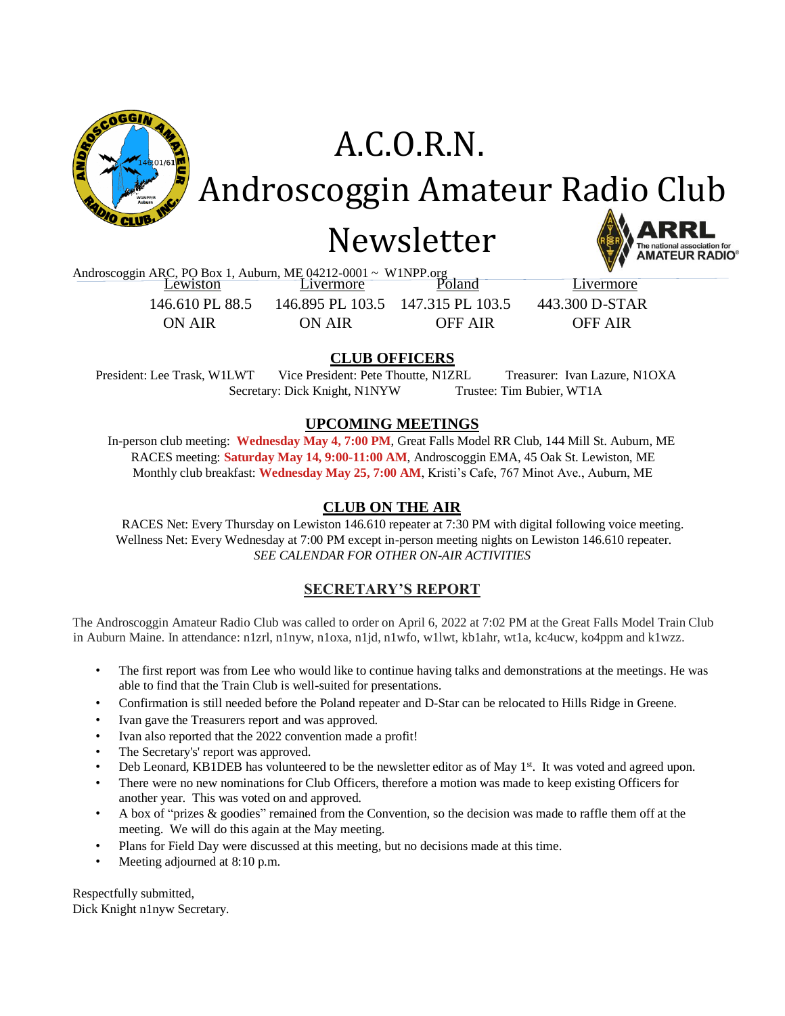

# Newsletter A.C.O.R.N. Androscoggin Amateur Radio Club

Androscoggin ARC, PO Box 1, Auburn, ME 04212-0001 ~ W1NPP.org<br>
Lewiston Livermore Poland Livermore

 146.610 PL 88.5 146.895 PL 103.5 147.315 PL 103.5 443.300 D-STAR ON AIR ON AIR OFF AIR OFF AIR

### **CLUB OFFICERS**

President: Lee Trask, W1LWT Vice President: Pete Thoutte, N1ZRL Treasurer: Ivan Lazure, N1OXA Secretary: Dick Knight, N1NYW Trustee: Tim Bubier, WT1A

#### **UPCOMING MEETINGS**

In-person club meeting: **Wednesday May 4, 7:00 PM**, Great Falls Model RR Club, 144 Mill St. Auburn, ME RACES meeting: **Saturday May 14, 9:00-11:00 AM**, Androscoggin EMA, 45 Oak St. Lewiston, ME Monthly club breakfast: **Wednesday May 25, 7:00 AM**, Kristi's Cafe, 767 Minot Ave., Auburn, ME

### **CLUB ON THE AIR**

RACES Net: Every Thursday on Lewiston 146.610 repeater at 7:30 PM with digital following voice meeting. Wellness Net: Every Wednesday at 7:00 PM except in-person meeting nights on Lewiston 146.610 repeater. *SEE CALENDAR FOR OTHER ON-AIR ACTIVITIES*

#### **SECRETARY'S REPORT**

The Androscoggin Amateur Radio Club was called to order on April 6, 2022 at 7:02 PM at the Great Falls Model Train Club in Auburn Maine. In attendance: n1zrl, n1nyw, n1oxa, n1jd, n1wfo, w1lwt, kb1ahr, wt1a, kc4ucw, ko4ppm and k1wzz.

- The first report was from Lee who would like to continue having talks and demonstrations at the meetings. He was able to find that the Train Club is well-suited for presentations.
- Confirmation is still needed before the Poland repeater and D-Star can be relocated to Hills Ridge in Greene.
- Ivan gave the Treasurers report and was approved.
- Ivan also reported that the 2022 convention made a profit!
- The Secretary's' report was approved.
- Deb Leonard, KB1DEB has volunteered to be the newsletter editor as of May 1<sup>st</sup>. It was voted and agreed upon.
- There were no new nominations for Club Officers, therefore a motion was made to keep existing Officers for another year. This was voted on and approved.
- A box of "prizes & goodies" remained from the Convention, so the decision was made to raffle them off at the meeting. We will do this again at the May meeting.
- Plans for Field Day were discussed at this meeting, but no decisions made at this time.
- Meeting adjourned at 8:10 p.m.

Respectfully submitted, Dick Knight n1nyw Secretary.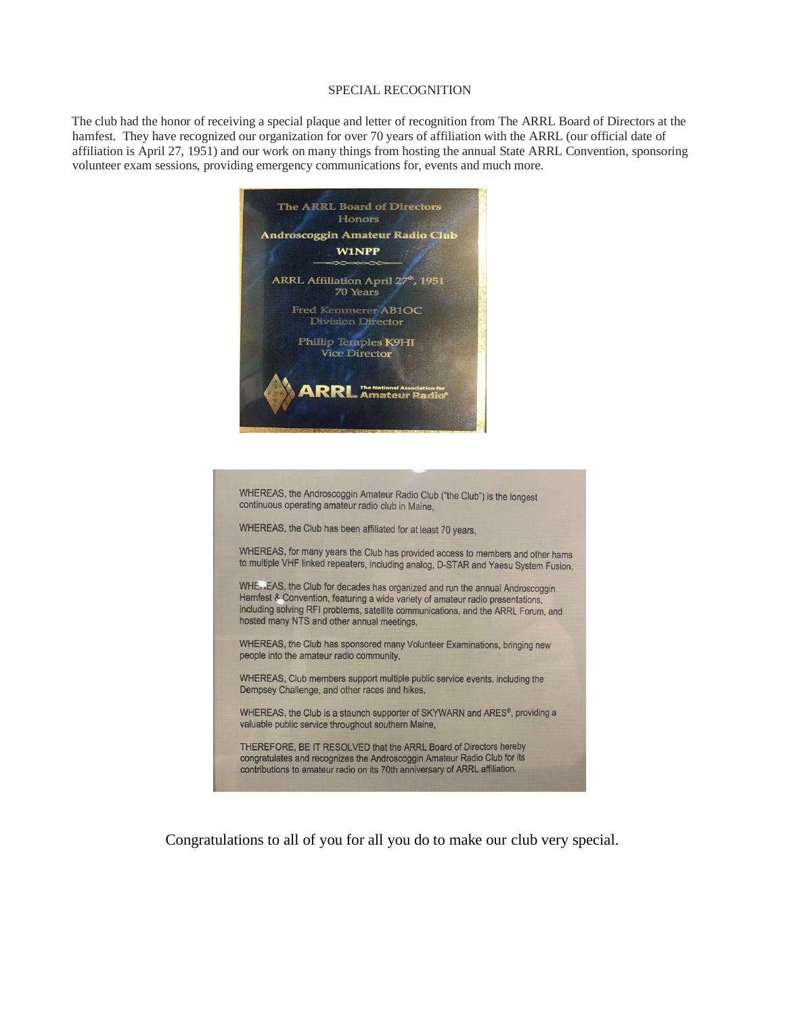#### SPECIAL RECOGNITION

The club had the honor of receiving a special plaque and letter of recognition from The ARRL Board of Directors at the hamfest. They have recognized our organization for over 70 years of affiliation with the ARRL (our official date of affiliation is April 27, 1951) and our work on many things from hosting the annual State ARRL Convention, sponsoring volunteer exam sessions, providing emergency communications for, events and much more.



WHEREAS, the Androscoggin Amateur Radio Club ("the Club") is the longest continuous operating amateur radio club in Maine,

WHEREAS, the Club has been affiliated for at least 70 years,

WHEREAS, for many years the Club has provided access to members and other hams to multiple VHF linked repeaters, including analog, D-STAR and Yaesu System Fusion,

WHE, EAS, the Club for decades has organized and run the annual Androscoggin Hamfest & Convention, featuring a wide variety of amateur radio presentations, including solving RFI problems, satellite communications, and the ARRL Forum, and hosted many NTS and other annual meetings,

WHEREAS, the Club has sponsored many Volunteer Examinations, bringing new people into the amateur radio community,

WHEREAS, Club members support multiple public service events, including the Dempsey Challenge, and other races and hikes,

WHEREAS, the Club is a staunch supporter of SKYWARN and ARES®, providing a valuable public service throughout southern Maine,

THEREFORE, BE IT RESOLVED that the ARRL Board of Directors hereby congratulates and recognizes the Androscoggin Amateur Radio Club for its contributions to amateur radio on its 70th anniversary of ARRL affiliation.

Congratulations to all of you for all you do to make our club very special.